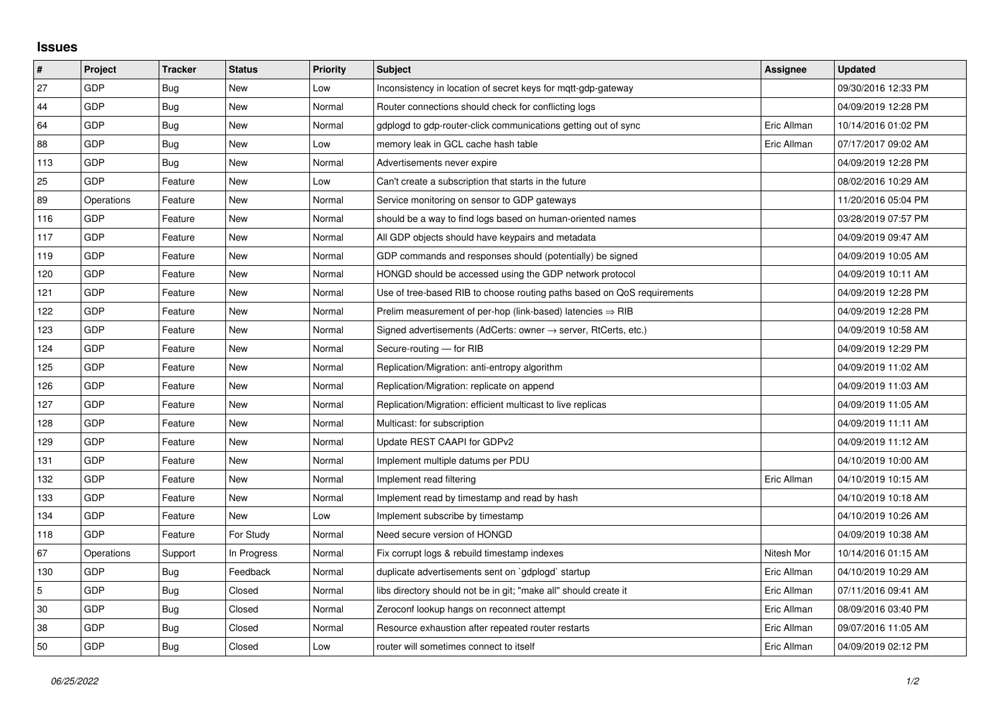## **Issues**

| #   | Project    | <b>Tracker</b> | <b>Status</b> | <b>Priority</b> | <b>Subject</b>                                                             | Assignee    | <b>Updated</b>      |
|-----|------------|----------------|---------------|-----------------|----------------------------------------------------------------------------|-------------|---------------------|
| 27  | GDP        | Bug            | <b>New</b>    | Low             | Inconsistency in location of secret keys for mqtt-gdp-gateway              |             | 09/30/2016 12:33 PM |
| 44  | GDP        | Bug            | New           | Normal          | Router connections should check for conflicting logs                       |             | 04/09/2019 12:28 PM |
| 64  | GDP        | Bug            | New           | Normal          | gdplogd to gdp-router-click communications getting out of sync             | Eric Allman | 10/14/2016 01:02 PM |
| 88  | GDP        | <b>Bug</b>     | <b>New</b>    | Low             | memory leak in GCL cache hash table                                        | Eric Allman | 07/17/2017 09:02 AM |
| 113 | GDP        | Bug            | New           | Normal          | Advertisements never expire                                                |             | 04/09/2019 12:28 PM |
| 25  | GDP        | Feature        | New           | Low             | Can't create a subscription that starts in the future                      |             | 08/02/2016 10:29 AM |
| 89  | Operations | Feature        | <b>New</b>    | Normal          | Service monitoring on sensor to GDP gateways                               |             | 11/20/2016 05:04 PM |
| 116 | GDP        | Feature        | New           | Normal          | should be a way to find logs based on human-oriented names                 |             | 03/28/2019 07:57 PM |
| 117 | GDP        | Feature        | <b>New</b>    | Normal          | All GDP objects should have keypairs and metadata                          |             | 04/09/2019 09:47 AM |
| 119 | GDP        | Feature        | New           | Normal          | GDP commands and responses should (potentially) be signed                  |             | 04/09/2019 10:05 AM |
| 120 | GDP        | Feature        | New           | Normal          | HONGD should be accessed using the GDP network protocol                    |             | 04/09/2019 10:11 AM |
| 121 | GDP        | Feature        | <b>New</b>    | Normal          | Use of tree-based RIB to choose routing paths based on QoS requirements    |             | 04/09/2019 12:28 PM |
| 122 | GDP        | Feature        | New           | Normal          | Prelim measurement of per-hop (link-based) latencies $\Rightarrow$ RIB     |             | 04/09/2019 12:28 PM |
| 123 | GDP        | Feature        | New           | Normal          | Signed advertisements (AdCerts: owner $\rightarrow$ server, RtCerts, etc.) |             | 04/09/2019 10:58 AM |
| 124 | GDP        | Feature        | <b>New</b>    | Normal          | Secure-routing - for RIB                                                   |             | 04/09/2019 12:29 PM |
| 125 | GDP        | Feature        | New           | Normal          | Replication/Migration: anti-entropy algorithm                              |             | 04/09/2019 11:02 AM |
| 126 | GDP        | Feature        | New           | Normal          | Replication/Migration: replicate on append                                 |             | 04/09/2019 11:03 AM |
| 127 | GDP        | Feature        | New           | Normal          | Replication/Migration: efficient multicast to live replicas                |             | 04/09/2019 11:05 AM |
| 128 | GDP        | Feature        | New           | Normal          | Multicast: for subscription                                                |             | 04/09/2019 11:11 AM |
| 129 | GDP        | Feature        | New           | Normal          | Update REST CAAPI for GDPv2                                                |             | 04/09/2019 11:12 AM |
| 131 | GDP        | Feature        | New           | Normal          | Implement multiple datums per PDU                                          |             | 04/10/2019 10:00 AM |
| 132 | GDP        | Feature        | New           | Normal          | Implement read filtering                                                   | Eric Allman | 04/10/2019 10:15 AM |
| 133 | <b>GDP</b> | Feature        | <b>New</b>    | Normal          | Implement read by timestamp and read by hash                               |             | 04/10/2019 10:18 AM |
| 134 | GDP        | Feature        | New           | Low             | Implement subscribe by timestamp                                           |             | 04/10/2019 10:26 AM |
| 118 | GDP        | Feature        | For Study     | Normal          | Need secure version of HONGD                                               |             | 04/09/2019 10:38 AM |
| 67  | Operations | Support        | In Progress   | Normal          | Fix corrupt logs & rebuild timestamp indexes                               | Nitesh Mor  | 10/14/2016 01:15 AM |
| 130 | GDP        | <b>Bug</b>     | Feedback      | Normal          | duplicate advertisements sent on `gdplogd` startup                         | Eric Allman | 04/10/2019 10:29 AM |
| 5   | GDP        | <b>Bug</b>     | Closed        | Normal          | libs directory should not be in git; "make all" should create it           | Eric Allman | 07/11/2016 09:41 AM |
| 30  | GDP        | Bug            | Closed        | Normal          | Zeroconf lookup hangs on reconnect attempt                                 | Eric Allman | 08/09/2016 03:40 PM |
| 38  | GDP        | Bug            | Closed        | Normal          | Resource exhaustion after repeated router restarts                         | Eric Allman | 09/07/2016 11:05 AM |
| 50  | GDP        | Bug            | Closed        | Low             | router will sometimes connect to itself                                    | Eric Allman | 04/09/2019 02:12 PM |